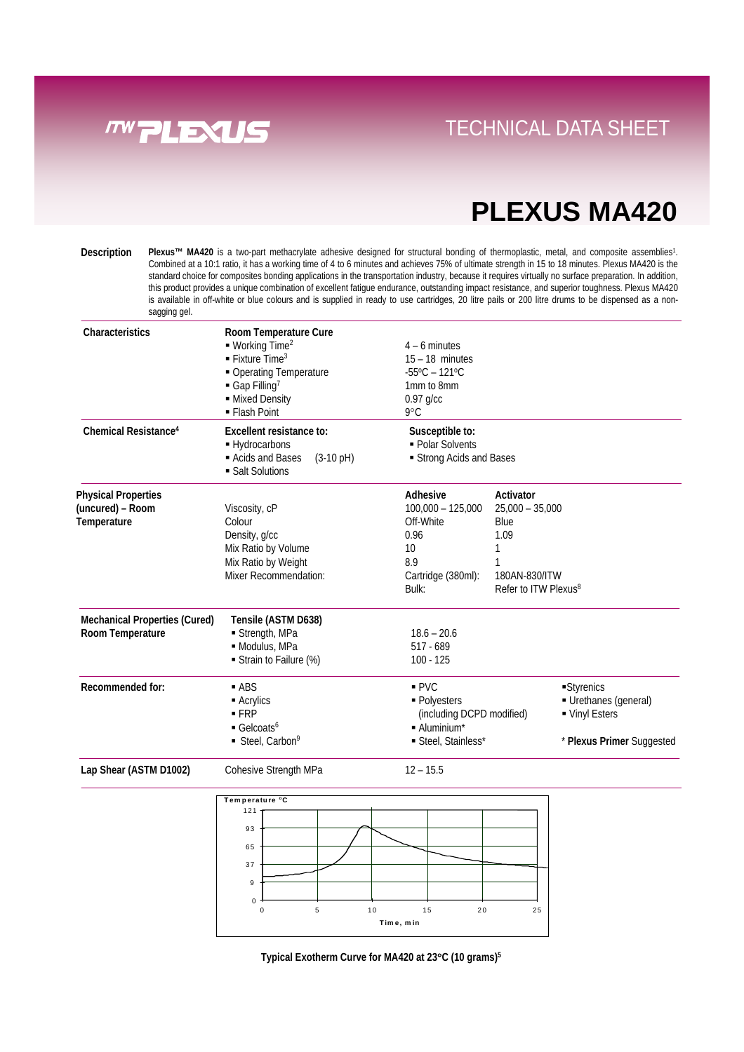

## **PLEXUS MA420**

www.molins.com<br>www.molins.com<br>www.molins.com

Plexus™ MA420 is a two-part methacrylate adhesive designed for structural bonding of thermoplastic, metal, and composite assemblies<sup>1</sup>. Combined at a 10:1 ratio, it has a working time of 4 to 6 minutes and achieves 75% of ultimate strength in 15 to 18 minutes. Plexus MA420 is the standard choice for composites bonding applications in the transportation industry, because it requires virtually no surface preparation. In addition, this product provides a unique combination of excellent fatigue endurance, outstanding impact resistance, and superior toughness. Plexus MA420 is available in off-white or blue colours and is supplied in ready to use cartridges, 20 litre pails or 200 litre drums to be dispensed as a nonsagging gel. **Description**

| Characteristics                                               | Room Temperature Cure<br>$\blacksquare$ Working Time <sup>2</sup><br>$\blacksquare$ Fixture Time <sup>3</sup><br>• Operating Temperature<br>Gap Filling <sup>7</sup><br>- Mixed Density<br>• Flash Point | $4 - 6$ minutes<br>$15 - 18$ minutes<br>$-55^{\circ}$ C – 121 $^{\circ}$ C<br>1mm to 8mm<br>$0.97$ g/cc<br>9°C |                                                                                                               |                                                                                 |
|---------------------------------------------------------------|----------------------------------------------------------------------------------------------------------------------------------------------------------------------------------------------------------|----------------------------------------------------------------------------------------------------------------|---------------------------------------------------------------------------------------------------------------|---------------------------------------------------------------------------------|
| Chemical Resistance <sup>4</sup>                              | Excellent resistance to:<br>- Hydrocarbons<br>Acids and Bases<br>$(3-10 \text{ pH})$<br>• Salt Solutions                                                                                                 | Susceptible to:<br>- Polar Solvents<br>Strong Acids and Bases                                                  |                                                                                                               |                                                                                 |
| <b>Physical Properties</b><br>(uncured) - Room<br>Temperature | Viscosity, cP<br>Colour<br>Density, g/cc<br>Mix Ratio by Volume<br>Mix Ratio by Weight<br>Mixer Recommendation:                                                                                          | Adhesive<br>$100,000 - 125,000$<br>Off-White<br>0.96<br>10<br>8.9<br>Cartridge (380ml):<br>Bulk:               | Activator<br>$25,000 - 35,000$<br>Blue<br>1.09<br>1<br>1<br>180AN-830/ITW<br>Refer to ITW Plexus <sup>8</sup> |                                                                                 |
| <b>Mechanical Properties (Cured)</b><br>Room Temperature      | Tensile (ASTM D638)<br>Strength, MPa<br>· Modulus, MPa<br>Strain to Failure (%)                                                                                                                          | $18.6 - 20.6$<br>$517 - 689$<br>$100 - 125$                                                                    |                                                                                                               |                                                                                 |
| Recommended for:                                              | $-$ ABS<br>- Acrylics<br>$-FRP$<br>Gelcoats <sup>6</sup><br>Steel, Carbon <sup>9</sup>                                                                                                                   | PVC<br>· Polyesters<br>(including DCPD modified)<br>- Aluminium*<br>Steel, Stainless*                          |                                                                                                               | Styrenics<br>Urethanes (general)<br>• Vinyl Esters<br>* Plexus Primer Suggested |
| Lap Shear (ASTM D1002)                                        | Cohesive Strength MPa                                                                                                                                                                                    | $12 - 15.5$                                                                                                    |                                                                                                               |                                                                                 |
|                                                               | Temperature °C<br>121<br>93<br>65<br>37                                                                                                                                                                  |                                                                                                                |                                                                                                               |                                                                                 |

0 5 10 15 20 25 **Tim e, m in**

0 9